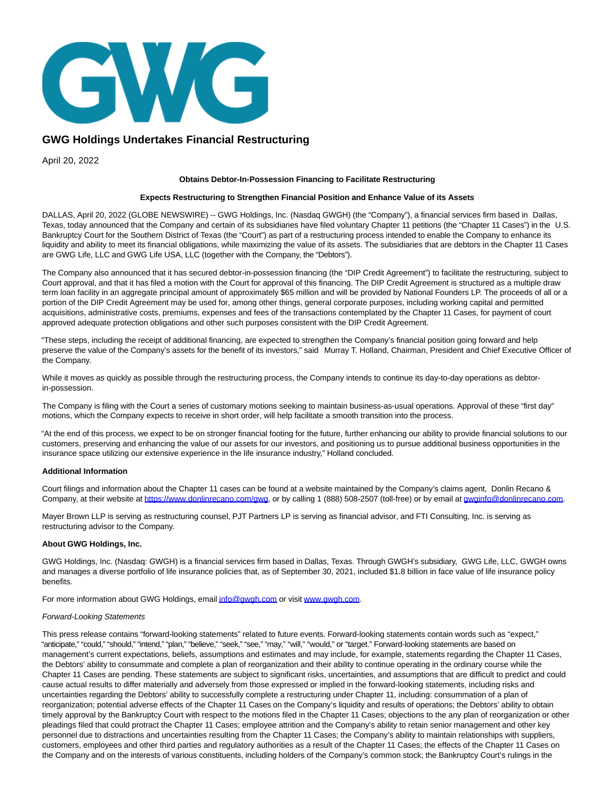

# **GWG Holdings Undertakes Financial Restructuring**

April 20, 2022

## **Obtains Debtor-In-Possession Financing to Facilitate Restructuring**

## **Expects Restructuring to Strengthen Financial Position and Enhance Value of its Assets**

DALLAS, April 20, 2022 (GLOBE NEWSWIRE) -- GWG Holdings, Inc. (Nasdaq GWGH) (the "Company"), a financial services firm based in Dallas, Texas, today announced that the Company and certain of its subsidiaries have filed voluntary Chapter 11 petitions (the "Chapter 11 Cases") in the U.S. Bankruptcy Court for the Southern District of Texas (the "Court") as part of a restructuring process intended to enable the Company to enhance its liquidity and ability to meet its financial obligations, while maximizing the value of its assets. The subsidiaries that are debtors in the Chapter 11 Cases are GWG Life, LLC and GWG Life USA, LLC (together with the Company, the "Debtors").

The Company also announced that it has secured debtor-in-possession financing (the "DIP Credit Agreement") to facilitate the restructuring, subject to Court approval, and that it has filed a motion with the Court for approval of this financing. The DIP Credit Agreement is structured as a multiple draw term loan facility in an aggregate principal amount of approximately \$65 million and will be provided by National Founders LP. The proceeds of all or a portion of the DIP Credit Agreement may be used for, among other things, general corporate purposes, including working capital and permitted acquisitions, administrative costs, premiums, expenses and fees of the transactions contemplated by the Chapter 11 Cases, for payment of court approved adequate protection obligations and other such purposes consistent with the DIP Credit Agreement.

"These steps, including the receipt of additional financing, are expected to strengthen the Company's financial position going forward and help preserve the value of the Company's assets for the benefit of its investors," said Murray T. Holland, Chairman, President and Chief Executive Officer of the Company.

While it moves as quickly as possible through the restructuring process, the Company intends to continue its day-to-day operations as debtorin-possession.

The Company is filing with the Court a series of customary motions seeking to maintain business-as-usual operations. Approval of these "first day" motions, which the Company expects to receive in short order, will help facilitate a smooth transition into the process.

"At the end of this process, we expect to be on stronger financial footing for the future, further enhancing our ability to provide financial solutions to our customers, preserving and enhancing the value of our assets for our investors, and positioning us to pursue additional business opportunities in the insurance space utilizing our extensive experience in the life insurance industry," Holland concluded.

## **Additional Information**

Court filings and information about the Chapter 11 cases can be found at a website maintained by the Company's claims agent, Donlin Recano & Company, at their website at [https://www.donlinrecano.com/gwg,](https://www.donlinrecano.com/gwg) or by calling 1 (888) 508-2507 (toll-free) or by email at [gwginfo@donlinrecano.com.](mailto:gwginfo@donlinrecano.com)

Mayer Brown LLP is serving as restructuring counsel, PJT Partners LP is serving as financial advisor, and FTI Consulting, Inc. is serving as restructuring advisor to the Company.

### **About GWG Holdings, Inc.**

GWG Holdings, Inc. (Nasdaq: GWGH) is a financial services firm based in Dallas, Texas. Through GWGH's subsidiary, GWG Life, LLC, GWGH owns and manages a diverse portfolio of life insurance policies that, as of September 30, 2021, included \$1.8 billion in face value of life insurance policy benefits.

For more information about GWG Holdings, emai[l info@gwgh.com o](mailto:info@gwgh.com)r visit [www.gwgh.com.](http://www.gwgh.com/)

### Forward-Looking Statements

This press release contains "forward-looking statements" related to future events. Forward-looking statements contain words such as "expect," "anticipate," "could," "should," "intend," "plan," "believe," "seek," "see," "may," "will," "would," or "target." Forward-looking statements are based on management's current expectations, beliefs, assumptions and estimates and may include, for example, statements regarding the Chapter 11 Cases, the Debtors' ability to consummate and complete a plan of reorganization and their ability to continue operating in the ordinary course while the Chapter 11 Cases are pending. These statements are subject to significant risks, uncertainties, and assumptions that are difficult to predict and could cause actual results to differ materially and adversely from those expressed or implied in the forward-looking statements, including risks and uncertainties regarding the Debtors' ability to successfully complete a restructuring under Chapter 11, including: consummation of a plan of reorganization; potential adverse effects of the Chapter 11 Cases on the Company's liquidity and results of operations; the Debtors' ability to obtain timely approval by the Bankruptcy Court with respect to the motions filed in the Chapter 11 Cases; objections to the any plan of reorganization or other pleadings filed that could protract the Chapter 11 Cases; employee attrition and the Company's ability to retain senior management and other key personnel due to distractions and uncertainties resulting from the Chapter 11 Cases; the Company's ability to maintain relationships with suppliers, customers, employees and other third parties and regulatory authorities as a result of the Chapter 11 Cases; the effects of the Chapter 11 Cases on the Company and on the interests of various constituents, including holders of the Company's common stock; the Bankruptcy Court's rulings in the